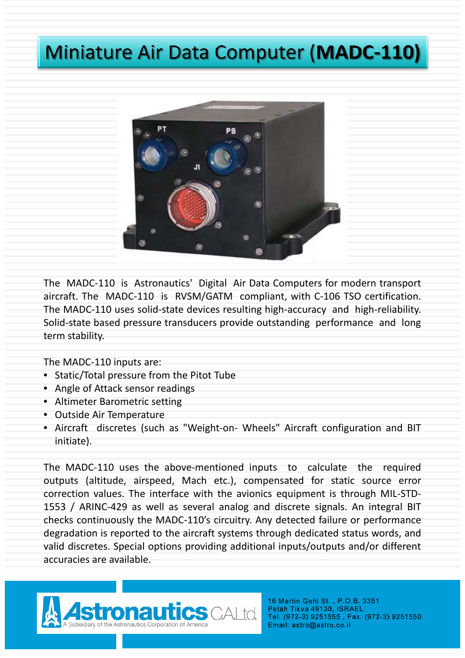## **Miniature Air Data Computer (MADC-110)**



The MADC‐110 is Astronautics' Digital Air Data Computers for modern transport aircraft. The MADC‐110 is RVSM/GATM compliant, with C‐106 TSO certification. The MADC-110 uses solid-state devices resulting high-accuracy and high-reliability. Solid‐state based pressure transducers provide outstanding performance and long term stability.

The MADC‐110 inputs are:

- Static/Total pressure from the Pitot Tube
- Angle of Attack sensor readings
- Altimeter Barometric setting
- Outside Air Temperature
- Aircraft discretes (such as "Weight-on- Wheels" Aircraft configuration and BIT initiate).

The MADC‐110 uses the above‐mentioned inputs to calculate the required outputs (altitude, airspeed, Mach etc.), compensated for static source error correction values. The interface with the avionics equipment is through MIL‐STD‐ 1553 / ARINC‐429 as well as several analog and discrete signals. An integral BIT checks continuously the MADC‐110's circuitry. Any detected failure or performance degradation is reported to the aircraft systems through dedicated status words, and valid discretes. Special options providing additional inputs/outputs and/or different accuracies are available.



16 Martin Gehl St., P.O.B. 3351 Petah Tikva 49130, ISRAEL Tel. (972-3) 9251555, Fax. (972-3) 9251550 Email: astro@astro.co.il